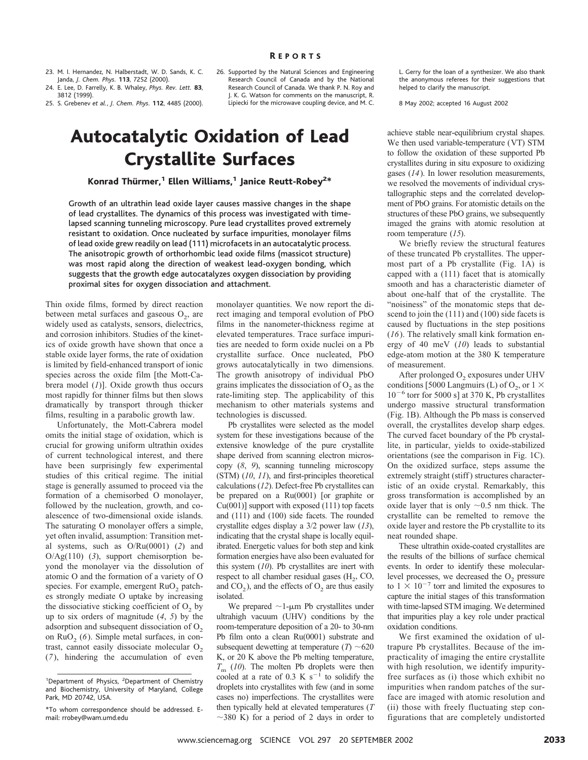23. M. I. Hernandez, N. Halberstadt, W. D. Sands, K. C. Janda, *J. Chem. Phys.* **113**, 7252 (2000).

24. E. Lee, D. Farrelly, K. B. Whaley, *Phys. Rev. Lett.* **83**, 3812 (1999).

25. S. Grebenev *et al.*, *J. Chem. Phys.* **112**, 4485 (2000).

## Autocatalytic Oxidation of Lead Crystallite Surfaces

Konrad Thürmer, $^1$  Ellen Williams, $^1$  Janice Reutt-Robey $^{2\ast}$ 

Growth of an ultrathin lead oxide layer causes massive changes in the shape of lead crystallites. The dynamics of this process was investigated with timelapsed scanning tunneling microscopy. Pure lead crystallites proved extremely resistant to oxidation. Once nucleated by surface impurities, monolayer films of lead oxide grew readily on lead (111) microfacets in an autocatalytic process. The anisotropic growth of orthorhombic lead oxide films (massicot structure) was most rapid along the direction of weakest lead-oxygen bonding, which suggests that the growth edge autocatalyzes oxygen dissociation by providing proximal sites for oxygen dissociation and attachment.

Thin oxide films, formed by direct reaction between metal surfaces and gaseous  $O<sub>2</sub>$ , are widely used as catalysts, sensors, dielectrics, and corrosion inhibitors. Studies of the kinetics of oxide growth have shown that once a stable oxide layer forms, the rate of oxidation is limited by field-enhanced transport of ionic species across the oxide film [the Mott-Cabrera model (*1*)]. Oxide growth thus occurs most rapidly for thinner films but then slows dramatically by transport through thicker films, resulting in a parabolic growth law.

Unfortunately, the Mott-Cabrera model omits the initial stage of oxidation, which is crucial for growing uniform ultrathin oxides of current technological interest, and there have been surprisingly few experimental studies of this critical regime. The initial stage is generally assumed to proceed via the formation of a chemisorbed O monolayer, followed by the nucleation, growth, and coalescence of two-dimensional oxide islands. The saturating O monolayer offers a simple, yet often invalid, assumption: Transition metal systems, such as O/Ru(0001) (*2*) and O/Ag(110) (*3*), support chemisorption beyond the monolayer via the dissolution of atomic O and the formation of a variety of O species. For example, emergent  $RuO<sub>2</sub>$  patches strongly mediate O uptake by increasing the dissociative sticking coefficient of  $O<sub>2</sub>$  by up to six orders of magnitude (*4*, *5*) by the adsorption and subsequent dissociation of  $O<sub>2</sub>$ on  $RuO<sub>2</sub>(6)$ . Simple metal surfaces, in contrast, cannot easily dissociate molecular  $O<sub>2</sub>$ (*7*), hindering the accumulation of even 26. Supported by the Natural Sciences and Engineering Research Council of Canada and by the National Research Council of Canada. We thank P. N. Roy and J. K. G. Watson for comments on the manuscript, R. Lipiecki for the microwave coupling device, and M. C.

monolayer quantities. We now report the direct imaging and temporal evolution of PbO films in the nanometer-thickness regime at elevated temperatures. Trace surface impurities are needed to form oxide nuclei on a Pb crystallite surface. Once nucleated, PbO grows autocatalytically in two dimensions. The growth anisotropy of individual PbO grains implicates the dissociation of  $O<sub>2</sub>$  as the rate-limiting step. The applicability of this mechanism to other materials systems and

Pb crystallites were selected as the model system for these investigations because of the extensive knowledge of the pure crystallite shape derived from scanning electron microscopy (*8*, *9*), scanning tunneling microscopy (STM) (*10*, *11*), and first-principles theoretical calculations (*12*). Defect-free Pb crystallites can be prepared on a Ru(0001) [or graphite or Cu(001)] support with exposed (111) top facets and (111) and (100) side facets. The rounded crystallite edges display a 3/2 power law (*13*), indicating that the crystal shape is locally equilibrated. Energetic values for both step and kink formation energies have also been evaluated for this system (*10*). Pb crystallites are inert with respect to all chamber residual gases  $(H_2, CO,$ and  $CO<sub>2</sub>$ ), and the effects of  $O<sub>2</sub>$  are thus easily

technologies is discussed.

isolated.

L. Gerry for the loan of a synthesizer. We also thank the anonymous referees for their suggestions that helped to clarify the manuscript.

8 May 2002; accepted 16 August 2002

achieve stable near-equilibrium crystal shapes. We then used variable-temperature (VT) STM to follow the oxidation of these supported Pb crystallites during in situ exposure to oxidizing gases (*14*). In lower resolution measurements, we resolved the movements of individual crystallographic steps and the correlated development of PbO grains. For atomistic details on the structures of these PbO grains, we subsequently imaged the grains with atomic resolution at room temperature (*15*).

We briefly review the structural features of these truncated Pb crystallites. The uppermost part of a Pb crystallite (Fig. 1A) is capped with a (111) facet that is atomically smooth and has a characteristic diameter of about one-half that of the crystallite. The "noisiness" of the monatomic steps that descend to join the (111) and (100) side facets is caused by fluctuations in the step positions (*16*). The relatively small kink formation energy of 40 meV (*10*) leads to substantial edge-atom motion at the 380 K temperature of measurement.

After prolonged O<sub>2</sub> exposures under UHV conditions [5000 Langmuirs (L) of  $O_2$ , or  $1 \times$  $10^{-6}$  torr for 5000 s] at 370 K, Pb crystallites undergo massive structural transformation (Fig. 1B). Although the Pb mass is conserved overall, the crystallites develop sharp edges. The curved facet boundary of the Pb crystallite, in particular, yields to oxide-stabilized orientations (see the comparison in Fig. 1C). On the oxidized surface, steps assume the extremely straight (stiff) structures characteristic of an oxide crystal. Remarkably, this gross transformation is accomplished by an oxide layer that is only  $\sim 0.5$  nm thick. The crystallite can be remelted to remove the oxide layer and restore the Pb crystallite to its neat rounded shape.

These ultrathin oxide-coated crystallites are the results of the billions of surface chemical events. In order to identify these molecularlevel processes, we decreased the  $O<sub>2</sub>$  pressure to  $1 \times 10^{-7}$  torr and limited the exposures to capture the initial stages of this transformation with time-lapsed STM imaging. We determined that impurities play a key role under practical oxidation conditions.

We first examined the oxidation of ultrapure Pb crystallites. Because of the impracticality of imaging the entire crystallite with high resolution, we identify impurityfree surfaces as (i) those which exhibit no impurities when random patches of the surface are imaged with atomic resolution and (ii) those with freely fluctuating step configurations that are completely undistorted

We prepared  $\sim$ 1- $\mu$ m Pb crystallites under ultrahigh vacuum (UHV) conditions by the room-temperature deposition of a 20- to 30-nm Pb film onto a clean Ru(0001) substrate and subsequent dewetting at temperature  $(T) \sim 620$ K, or 20 K above the Pb melting temperature, *T*<sub>m</sub> (*10*). The molten Pb droplets were then cooled at a rate of 0.3 K  $s^{-1}$  to solidify the droplets into crystallites with few (and in some cases no) imperfections. The crystallites were then typically held at elevated temperatures (*T*  $\sim$ 380 K) for a period of 2 days in order to

<sup>&</sup>lt;sup>1</sup>Department of Physics, <sup>2</sup>Department of Chemistry and Biochemistry, University of Maryland, College Park, MD 20742, USA.

<sup>\*</sup>To whom correspondence should be addressed. Email: rrobey@wam.umd.edu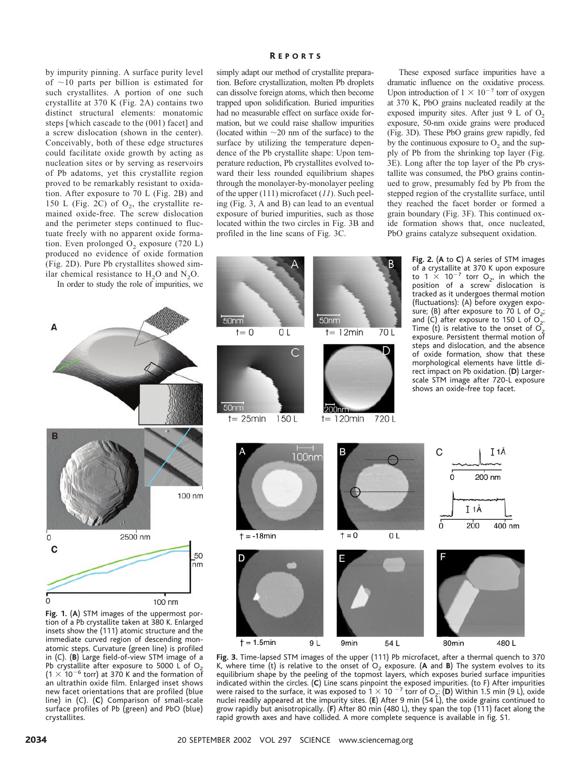by impurity pinning. A surface purity level of  $\sim$ 10 parts per billion is estimated for such crystallites. A portion of one such crystallite at 370 K (Fig. 2A) contains two distinct structural elements: monatomic steps [which cascade to the (001) facet] and a screw dislocation (shown in the center). Conceivably, both of these edge structures could facilitate oxide growth by acting as nucleation sites or by serving as reservoirs of Pb adatoms, yet this crystallite region proved to be remarkably resistant to oxidation. After exposure to 70 L (Fig. 2B) and 150 L (Fig. 2C) of  $O_2$ , the crystallite remained oxide-free. The screw dislocation and the perimeter steps continued to fluctuate freely with no apparent oxide formation. Even prolonged  $O<sub>2</sub>$  exposure (720 L) produced no evidence of oxide formation (Fig. 2D). Pure Pb crystallites showed similar chemical resistance to  $H_2O$  and  $N_2O$ .

In order to study the role of impurities, we

Α

## R EPORTS

simply adapt our method of crystallite preparation. Before crystallization, molten Pb droplets can dissolve foreign atoms, which then become trapped upon solidification. Buried impurities had no measurable effect on surface oxide formation, but we could raise shallow impurities (located within  $\sim$ 20 nm of the surface) to the surface by utilizing the temperature dependence of the Pb crystallite shape: Upon temperature reduction, Pb crystallites evolved toward their less rounded equilibrium shapes through the monolayer-by-monolayer peeling of the upper (111) microfacet (*11*). Such peeling (Fig. 3, A and B) can lead to an eventual exposure of buried impurities, such as those located within the two circles in Fig. 3B and profiled in the line scans of Fig. 3C.

These exposed surface impurities have a dramatic influence on the oxidative process. Upon introduction of  $1 \times 10^{-7}$  torr of oxygen at 370 K, PbO grains nucleated readily at the exposed impurity sites. After just 9 L of  $O<sub>2</sub>$ exposure, 50-nm oxide grains were produced (Fig. 3D). These PbO grains grew rapidly, fed by the continuous exposure to  $O<sub>2</sub>$  and the supply of Pb from the shrinking top layer (Fig. 3E). Long after the top layer of the Pb crystallite was consumed, the PbO grains continued to grow, presumably fed by Pb from the stepped region of the crystallite surface, until they reached the facet border or formed a grain boundary (Fig. 3F). This continued oxide formation shows that, once nucleated, PbO grains catalyze subsequent oxidation.



**Fig. 3.** Time-lapsed STM images of the upper (111) Pb microfacet, after a thermal quench to 370 K, where time (t) is relative to the onset of  $O<sub>2</sub>$  exposure. (A and B) The system evolves to its equilibrium shape by the peeling of the topmost layers, which exposes buried surface impurities indicated within the circles. (**C**) Line scans pinpoint the exposed impurities. (to F) After impurities were raised to the surface, it was exposed to  $1 \times 10^{-7}$  torr of O<sub>2</sub>: (D) Within 1.5 min (9 L), oxide nuclei readily appeared at the impurity sites. (**E**) After 9 min (54 L), the oxide grains continued to grow rapidly but anisotropically. (**F**) After 80 min (480 L), they span the top (111) facet along the rapid growth axes and have collided. A more complete sequence is available in fig. S1.



immediate curved region of descending monatomic steps. Curvature (green line) is profiled in (C). (**B**) Large field-of-view STM image of a Pb crystallite after exposure to 5000 L of  $O<sub>2</sub>$  $(1 \times 10^{-6}$  torr) at 370 K and the formation of an ultrathin oxide film. Enlarged inset shows new facet orientations that are profiled (blue line) in (C). (**C**) Comparison of small-scale surface profiles of Pb (green) and PbO (blue) crystallites.